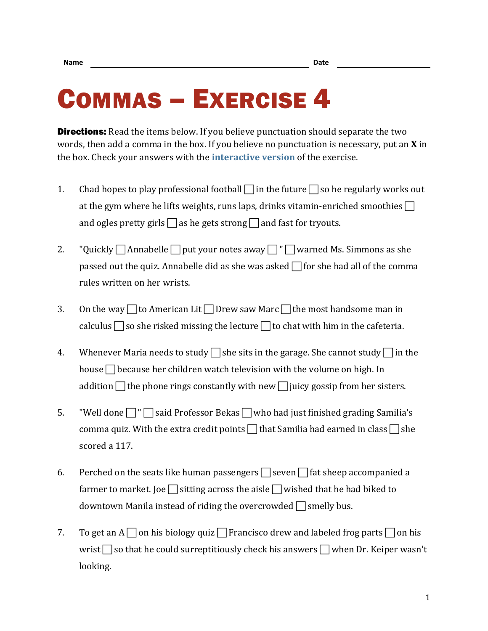## COMMAS – EXERCISE 4

**Directions:** Read the items below. If you believe punctuation should separate the two words, then add a comma in the box. If you believe no punctuation is necessary, put an **X** in the box. Check your answers with the **[interactive version](https://chompchomp.com/hotpotatoes/commas04a.htm)** of the exercise.

- 1. Chad hopes to play professional football  $\Box$  in the future  $\Box$  so he regularly works out at the gym where he lifts weights, runs laps, drinks vitamin-enriched smoothies  $\Box$ and ogles pretty girls  $\Box$  as he gets strong  $\Box$  and fast for tryouts.
- 2. "Quickly  $\Box$  Annabelle  $\Box$  put your notes away  $\Box$  " $\Box$  warned Ms. Simmons as she passed out the quiz. Annabelle did as she was asked  $\Box$  for she had all of the comma rules written on her wrists.
- 3. On the way  $\Box$  to American Lit  $\Box$  Drew saw Marc  $\Box$  the most handsome man in calculus  $\Box$  so she risked missing the lecture  $\Box$  to chat with him in the cafeteria.
- 4. Whenever Maria needs to study  $\Box$  she sits in the garage. She cannot study  $\Box$  in the house  $\Box$  because her children watch television with the volume on high. In addition  $\Box$  the phone rings constantly with new  $\Box$  juicy gossip from her sisters.
- 5. "Well done  $\Box$ "  $\Box$  said Professor Bekas  $\Box$  who had just finished grading Samilia's comma quiz. With the extra credit points  $\Box$  that Samilia had earned in class  $\Box$  she scored a 117.
- 6. Perched on the seats like human passengers  $\Box$  seven  $\Box$  fat sheep accompanied a farmer to market. Joe  $\Box$  sitting across the aisle  $\Box$  wished that he had biked to downtown Manila instead of riding the overcrowded  $\Box$  smelly bus.
- 7. To get an  $A \cap \sigma$  his biology quiz  $\cap$  Francisco drew and labeled frog parts  $\cap$  on his wrist  $\Box$  so that he could surreptitiously check his answers  $\Box$  when Dr. Keiper wasn't looking.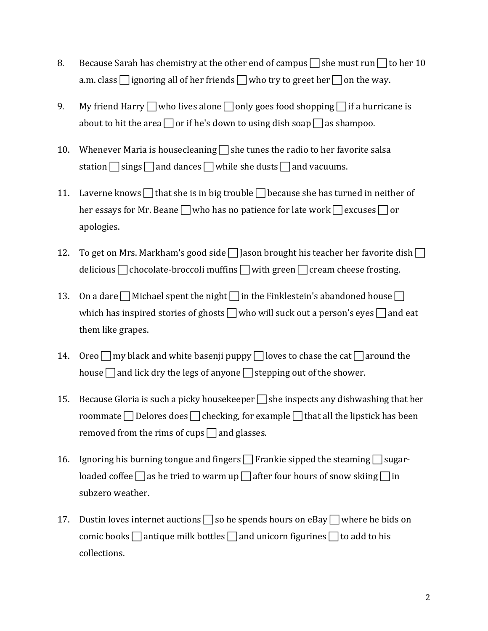- 8. Because Sarah has chemistry at the other end of campus  $\Box$  she must run  $\Box$  to her 10 a.m. class  $\Box$  ignoring all of her friends  $\Box$  who try to greet her  $\Box$  on the way.
- 9. My friend Harry  $\Box$  who lives alone  $\Box$  only goes food shopping  $\Box$  if a hurricane is about to hit the area  $\Box$  or if he's down to using dish soap  $\Box$  as shampoo.
- 10. Whenever Maria is housecleaning  $\Box$  she tunes the radio to her favorite salsa station  $\Box$  sings  $\Box$  and dances  $\Box$  while she dusts  $\Box$  and vacuums.
- 11. Laverne knows  $\Box$  that she is in big trouble  $\Box$  because she has turned in neither of her essays for Mr. Beane  $\Box$  who has no patience for late work  $\Box$  excuses  $\Box$  or apologies.
- 12. To get on Mrs. Markham's good side  $\Box$  Jason brought his teacher her favorite dish  $\Box$ delicious  $\Box$  chocolate-broccoli muffins  $\Box$  with green  $\Box$  cream cheese frosting.
- 13. On a dare  $\Box$  Michael spent the night  $\Box$  in the Finklestein's abandoned house  $\Box$ which has inspired stories of ghosts  $\Box$  who will suck out a person's eyes  $\Box$  and eat them like grapes.
- 14. Oreo  $\Box$  my black and white basenji puppy  $\Box$  loves to chase the cat  $\Box$  around the house  $\Box$  and lick dry the legs of anyone  $\Box$  stepping out of the shower.
- 15. Because Gloria is such a picky housekeeper  $\Box$  she inspects any dishwashing that her roommate  $\Box$  Delores does  $\Box$  checking, for example  $\Box$  that all the lipstick has been removed from the rims of cups  $\Box$  and glasses.
- 16. Ignoring his burning tongue and fingers  $\Box$  Frankie sipped the steaming  $\Box$  sugarloaded coffee  $\Box$  as he tried to warm up  $\Box$  after four hours of snow skiing  $\Box$  in subzero weather.
- 17. Dustin loves internet auctions  $\Box$  so he spends hours on eBay  $\Box$  where he bids on comic books  $\Box$  antique milk bottles  $\Box$  and unicorn figurines  $\Box$  to add to his collections.